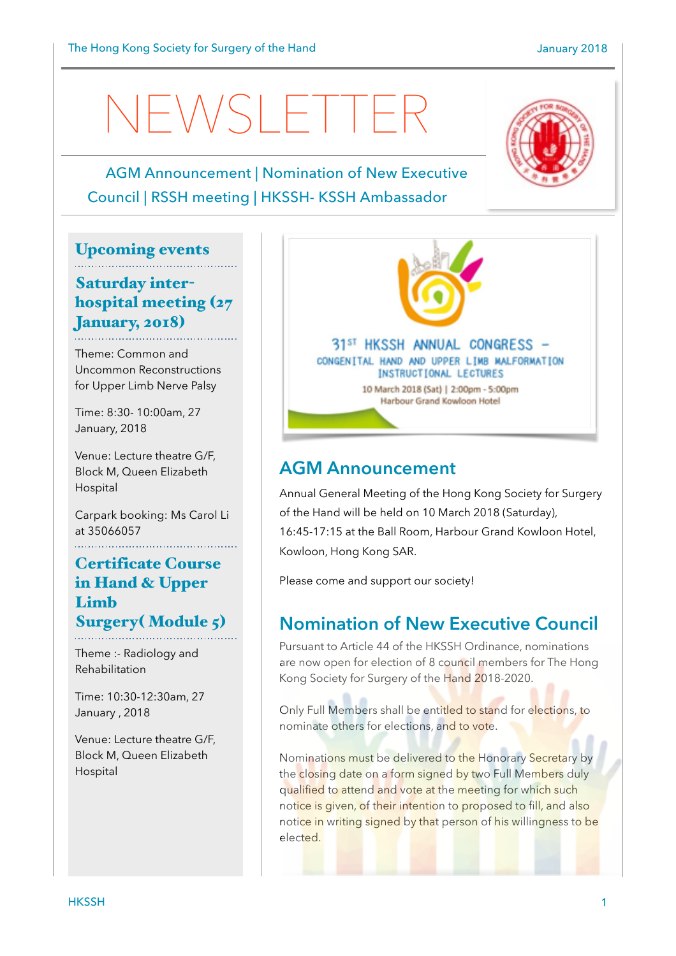# NEWSLETTER

#### AGM Announcement | Nomination of New Executive Council | RSSH meeting | HKSSH- KSSH Ambassador

#### Upcoming events

#### Saturday interhospital meeting (27 January, 2018)

Theme: Common and Uncommon Reconstructions for Upper Limb Nerve Palsy

Time: 8:30- 10:00am, 27 January, 2018

Venue: Lecture theatre G/F, Block M, Queen Elizabeth Hospital

Carpark booking: Ms Carol Li at 35066057

#### Certificate Course in Hand & Upper Limb Surgery( Module 5)

Theme :- Radiology and Rehabilitation

Time: 10:30-12:30am, 27 January , 2018

Venue: Lecture theatre G/F, Block M, Queen Elizabeth Hospital



#### **AGM Announcement**

Annual General Meeting of the Hong Kong Society for Surgery of the Hand will be held on 10 March 2018 (Saturday), 16:45-17:15 at the Ball Room, Harbour Grand Kowloon Hotel, Kowloon, Hong Kong SAR.

Please come and support our society!

#### **Nomination of New Executive Council**

Pursuant to Article 44 of the HKSSH Ordinance, nominations are now open for election of 8 council members for The Hong Kong Society for Surgery of the Hand 2018-2020.

Only Full Members shall be entitled to stand for elections, to nominate others for elections, and to vote.

Nominations must be delivered to the Honorary Secretary by the closing date on a form signed by two Full Members duly qualified to attend and vote at the meeting for which such notice is given, of their intention to proposed to fill, and also notice in writing signed by that person of his willingness to be elected.